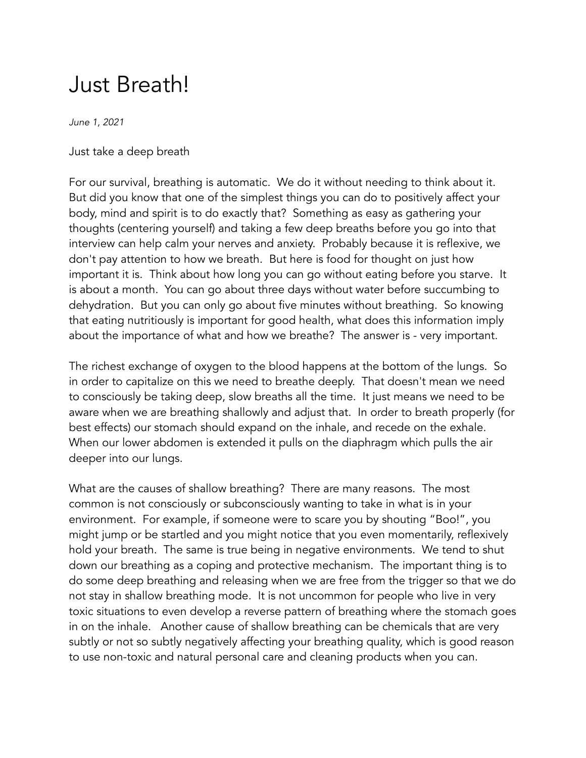## Just Breath!

*June 1, 2021*

## Just take a deep breath

For our survival, breathing is automatic. We do it without needing to think about it. But did you know that one of the simplest things you can do to positively affect your body, mind and spirit is to do exactly that? Something as easy as gathering your thoughts (centering yourself) and taking a few deep breaths before you go into that interview can help calm your nerves and anxiety. Probably because it is reflexive, we don't pay attention to how we breath. But here is food for thought on just how important it is. Think about how long you can go without eating before you starve. It is about a month. You can go about three days without water before succumbing to dehydration. But you can only go about five minutes without breathing. So knowing that eating nutritiously is important for good health, what does this information imply about the importance of what and how we breathe? The answer is - very important.

The richest exchange of oxygen to the blood happens at the bottom of the lungs. So in order to capitalize on this we need to breathe deeply. That doesn't mean we need to consciously be taking deep, slow breaths all the time. It just means we need to be aware when we are breathing shallowly and adjust that. In order to breath properly (for best effects) our stomach should expand on the inhale, and recede on the exhale. When our lower abdomen is extended it pulls on the diaphragm which pulls the air deeper into our lungs.

What are the causes of shallow breathing? There are many reasons. The most common is not consciously or subconsciously wanting to take in what is in your environment. For example, if someone were to scare you by shouting "Boo!", you might jump or be startled and you might notice that you even momentarily, reflexively hold your breath. The same is true being in negative environments. We tend to shut down our breathing as a coping and protective mechanism. The important thing is to do some deep breathing and releasing when we are free from the trigger so that we do not stay in shallow breathing mode. It is not uncommon for people who live in very toxic situations to even develop a reverse pattern of breathing where the stomach goes in on the inhale. Another cause of shallow breathing can be chemicals that are very subtly or not so subtly negatively affecting your breathing quality, which is good reason to use non-toxic and natural personal care and cleaning products when you can.